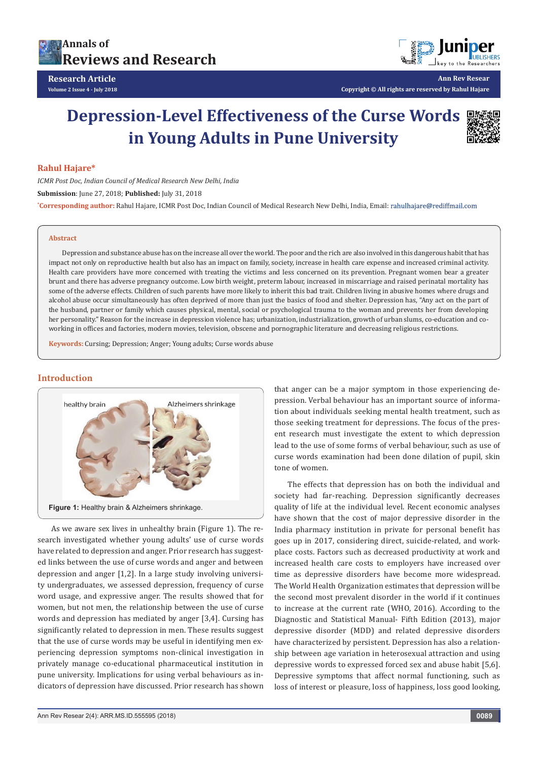



**Ann Rev Resear Copyright © All rights are reserved by Rahul Hajare**

# **Depression-Level Effectiveness of the Curse Words in Young Adults in Pune University**



# **Rahul Hajare\***

*ICMR Post Doc, Indian Council of Medical Research New Delhi, India* **Submission**: June 27, 2018; **Published:** July 31, 2018 **\* Corresponding author:** Rahul Hajare, ICMR Post Doc, Indian Council of Medical Research New Delhi, India, Email:

#### **Abstract**

Depression and substance abuse has on the increase all over the world. The poor and the rich are also involved in this dangerous habit that has impact not only on reproductive health but also has an impact on family, society, increase in health care expense and increased criminal activity. Health care providers have more concerned with treating the victims and less concerned on its prevention. Pregnant women bear a greater brunt and there has adverse pregnancy outcome. Low birth weight, preterm labour, increased in miscarriage and raised perinatal mortality has some of the adverse effects. Children of such parents have more likely to inherit this bad trait. Children living in abusive homes where drugs and alcohol abuse occur simultaneously has often deprived of more than just the basics of food and shelter. Depression has, "Any act on the part of the husband, partner or family which causes physical, mental, social or psychological trauma to the woman and prevents her from developing her personality." Reason for the increase in depression violence has; urbanization, industrialization, growth of urban slums, co-education and coworking in offices and factories, modern movies, television, obscene and pornographic literature and decreasing religious restrictions.

**Keywords:** Cursing; Depression; Anger; Young adults; Curse words abuse

# **Introduction**



As we aware sex lives in unhealthy brain (Figure 1). The research investigated whether young adults' use of curse words have related to depression and anger. Prior research has suggested links between the use of curse words and anger and between depression and anger [1,2]. In a large study involving university undergraduates, we assessed depression, frequency of curse word usage, and expressive anger. The results showed that for women, but not men, the relationship between the use of curse words and depression has mediated by anger [3,4]. Cursing has significantly related to depression in men. These results suggest that the use of curse words may be useful in identifying men experiencing depression symptoms non-clinical investigation in privately manage co-educational pharmaceutical institution in pune university. Implications for using verbal behaviours as indicators of depression have discussed. Prior research has shown

that anger can be a major symptom in those experiencing depression. Verbal behaviour has an important source of information about individuals seeking mental health treatment, such as those seeking treatment for depressions. The focus of the present research must investigate the extent to which depression lead to the use of some forms of verbal behaviour, such as use of curse words examination had been done dilation of pupil, skin tone of women.

The effects that depression has on both the individual and society had far-reaching. Depression significantly decreases quality of life at the individual level. Recent economic analyses have shown that the cost of major depressive disorder in the India pharmacy institution in private for personal benefit has goes up in 2017, considering direct, suicide-related, and workplace costs. Factors such as decreased productivity at work and increased health care costs to employers have increased over time as depressive disorders have become more widespread. The World Health Organization estimates that depression will be the second most prevalent disorder in the world if it continues to increase at the current rate (WHO, 2016). According to the Diagnostic and Statistical Manual- Fifth Edition (2013), major depressive disorder (MDD) and related depressive disorders have characterized by persistent. Depression has also a relationship between age variation in heterosexual attraction and using depressive words to expressed forced sex and abuse habit [5,6]. Depressive symptoms that affect normal functioning, such as loss of interest or pleasure, loss of happiness, loss good looking,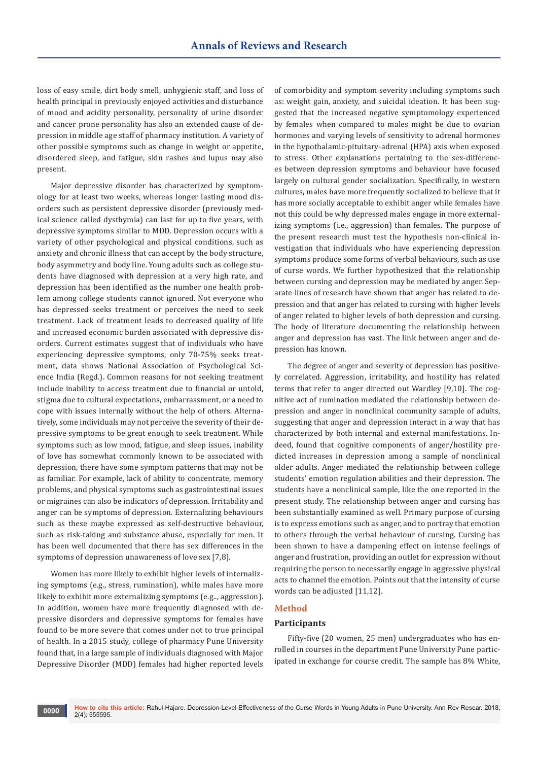loss of easy smile, dirt body smell, unhygienic staff, and loss of health principal in previously enjoyed activities and disturbance of mood and acidity personality, personality of urine disorder and cancer prone personality has also an extended cause of depression in middle age staff of pharmacy institution. A variety of other possible symptoms such as change in weight or appetite, disordered sleep, and fatigue, skin rashes and lupus may also present.

Major depressive disorder has characterized by symptomology for at least two weeks, whereas longer lasting mood disorders such as persistent depressive disorder (previously medical science called dysthymia) can last for up to five years, with depressive symptoms similar to MDD. Depression occurs with a variety of other psychological and physical conditions, such as anxiety and chronic illness that can accept by the body structure, body asymmetry and body line. Young adults such as college students have diagnosed with depression at a very high rate, and depression has been identified as the number one health problem among college students cannot ignored. Not everyone who has depressed seeks treatment or perceives the need to seek treatment. Lack of treatment leads to decreased quality of life and increased economic burden associated with depressive disorders. Current estimates suggest that of individuals who have experiencing depressive symptoms, only 70-75% seeks treatment, data shows National Association of Psychological Science India (Regd.). Common reasons for not seeking treatment include inability to access treatment due to financial or untold, stigma due to cultural expectations, embarrassment, or a need to cope with issues internally without the help of others. Alternatively, some individuals may not perceive the severity of their depressive symptoms to be great enough to seek treatment. While symptoms such as low mood, fatigue, and sleep issues, inability of love has somewhat commonly known to be associated with depression, there have some symptom patterns that may not be as familiar. For example, lack of ability to concentrate, memory problems, and physical symptoms such as gastrointestinal issues or migraines can also be indicators of depression. Irritability and anger can be symptoms of depression. Externalizing behaviours such as these maybe expressed as self-destructive behaviour, such as risk-taking and substance abuse, especially for men. It has been well documented that there has sex differences in the symptoms of depression unawareness of love sex [7,8].

Women has more likely to exhibit higher levels of internalizing symptoms (e.g., stress, rumination), while males have more likely to exhibit more externalizing symptoms (e.g.., aggression). In addition, women have more frequently diagnosed with depressive disorders and depressive symptoms for females have found to be more severe that comes under not to true principal of health. In a 2015 study, college of pharmacy Pune University found that, in a large sample of individuals diagnosed with Major Depressive Disorder (MDD) females had higher reported levels

of comorbidity and symptom severity including symptoms such as: weight gain, anxiety, and suicidal ideation. It has been suggested that the increased negative symptomology experienced by females when compared to males might be due to ovarian hormones and varying levels of sensitivity to adrenal hormones in the hypothalamic-pituitary-adrenal (HPA) axis when exposed to stress. Other explanations pertaining to the sex-differences between depression symptoms and behaviour have focused largely on cultural gender socialization. Specifically, in western cultures, males have more frequently socialized to believe that it has more socially acceptable to exhibit anger while females have not this could be why depressed males engage in more externalizing symptoms (i.e., aggression) than females. The purpose of the present research must test the hypothesis non-clinical investigation that individuals who have experiencing depression symptoms produce some forms of verbal behaviours, such as use of curse words. We further hypothesized that the relationship between cursing and depression may be mediated by anger. Separate lines of research have shown that anger has related to depression and that anger has related to cursing with higher levels of anger related to higher levels of both depression and cursing. The body of literature documenting the relationship between anger and depression has vast. The link between anger and depression has known.

The degree of anger and severity of depression has positively correlated. Aggression, irritability, and hostility has related terms that refer to anger directed out Wardley [9,10]. The cognitive act of rumination mediated the relationship between depression and anger in nonclinical community sample of adults, suggesting that anger and depression interact in a way that has characterized by both internal and external manifestations. Indeed, found that cognitive components of anger/hostility predicted increases in depression among a sample of nonclinical older adults. Anger mediated the relationship between college students' emotion regulation abilities and their depression. The students have a nonclinical sample, like the one reported in the present study. The relationship between anger and cursing has been substantially examined as well. Primary purpose of cursing is to express emotions such as anger, and to portray that emotion to others through the verbal behaviour of cursing. Cursing has been shown to have a dampening effect on intense feelings of anger and frustration, providing an outlet for expression without requiring the person to necessarily engage in aggressive physical acts to channel the emotion. Points out that the intensity of curse words can be adjusted [11,12].

#### **Method**

#### **Participants**

Fifty-five (20 women, 25 men) undergraduates who has enrolled in courses in the department Pune University Pune participated in exchange for course credit. The sample has 8% White,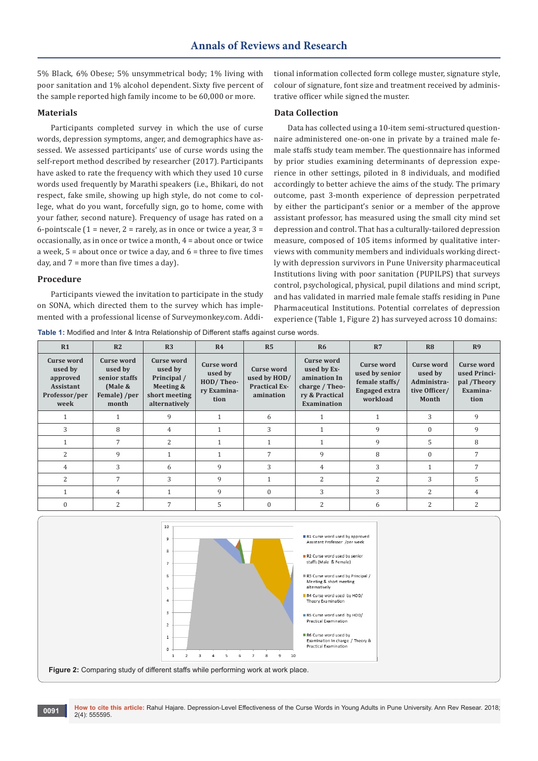5% Black, 6% Obese; 5% unsymmetrical body; 1% living with poor sanitation and 1% alcohol dependent. Sixty five percent of the sample reported high family income to be 60,000 or more.

## **Materials**

Participants completed survey in which the use of curse words, depression symptoms, anger, and demographics have assessed. We assessed participants' use of curse words using the self-report method described by researcher (2017). Participants have asked to rate the frequency with which they used 10 curse words used frequently by Marathi speakers (i.e., Bhikari, do not respect, fake smile, showing up high style, do not come to college, what do you want, forcefully sign, go to home, come with your father, second nature). Frequency of usage has rated on a 6-pointscale (1 = never, 2 = rarely, as in once or twice a year, 3 = occasionally, as in once or twice a month, 4 = about once or twice a week,  $5 =$  about once or twice a day, and  $6 =$  three to five times day, and 7 = more than five times a day).

#### **Procedure**

Participants viewed the invitation to participate in the study on SONA, which directed them to the survey which has implemented with a professional license of Surveymonkey.com. Additional information collected form college muster, signature style, colour of signature, font size and treatment received by administrative officer while signed the muster.

# **Data Collection**

Data has collected using a 10-item semi-structured questionnaire administered one-on-one in private by a trained male female staffs study team member. The questionnaire has informed by prior studies examining determinants of depression experience in other settings, piloted in 8 individuals, and modified accordingly to better achieve the aims of the study. The primary outcome, past 3-month experience of depression perpetrated by either the participant's senior or a member of the approve assistant professor, has measured using the small city mind set depression and control. That has a culturally-tailored depression measure, composed of 105 items informed by qualitative interviews with community members and individuals working directly with depression survivors in Pune University pharmaceutical Institutions living with poor sanitation (PUPILPS) that surveys control, psychological, physical, pupil dilations and mind script, and has validated in married male female staffs residing in Pune Pharmaceutical Institutions. Potential correlates of depression experience (Table 1, Figure 2) has surveyed across 10 domains:

**Table 1:** Modified and Inter & Intra Relationship of Different staffs against curse words.

| R <sub>1</sub>                                                                        | R <sub>2</sub>                                                                    | R <sub>3</sub>                                                                      | R <sub>4</sub>                                                   | R <sub>5</sub>                                                         | <b>R6</b>                                                                                    | R7                                                                                        | R <sub>8</sub>                                                 | R <sub>9</sub>                                                |
|---------------------------------------------------------------------------------------|-----------------------------------------------------------------------------------|-------------------------------------------------------------------------------------|------------------------------------------------------------------|------------------------------------------------------------------------|----------------------------------------------------------------------------------------------|-------------------------------------------------------------------------------------------|----------------------------------------------------------------|---------------------------------------------------------------|
| <b>Curse word</b><br>used by<br>approved<br><b>Assistant</b><br>Professor/per<br>week | <b>Curse word</b><br>used by<br>senior staffs<br>(Male &<br>Female) /per<br>month | Curse word<br>used by<br>Principal /<br>Meeting &<br>short meeting<br>alternatively | <b>Curse word</b><br>used by<br>HOD/Theo-<br>ry Examina-<br>tion | <b>Curse word</b><br>used by HOD/<br><b>Practical Ex-</b><br>amination | Curse word<br>used by Ex-<br>amination In<br>charge / Theo-<br>ry & Practical<br>Examination | <b>Curse word</b><br>used by senior<br>female staffs/<br><b>Engaged</b> extra<br>workload | Curse word<br>used by<br>Administra-<br>tive Officer/<br>Month | Curse word<br>used Princi-<br>pal /Theory<br>Examina-<br>tion |
| 1                                                                                     |                                                                                   | 9                                                                                   |                                                                  | 6                                                                      |                                                                                              |                                                                                           | 3                                                              | 9                                                             |
| 3                                                                                     | 8                                                                                 | $\overline{4}$                                                                      |                                                                  | 3                                                                      | $\mathbf{1}$                                                                                 | 9                                                                                         | $\Omega$                                                       | 9                                                             |
|                                                                                       | 7                                                                                 | $\overline{2}$                                                                      |                                                                  |                                                                        |                                                                                              | 9                                                                                         | 5                                                              | 8                                                             |
| 2                                                                                     | 9                                                                                 |                                                                                     |                                                                  | $\overline{7}$                                                         | 9                                                                                            | 8                                                                                         | $\Omega$                                                       |                                                               |
| $\overline{4}$                                                                        | 3                                                                                 | 6                                                                                   | 9                                                                | 3                                                                      | $\overline{4}$                                                                               | 3                                                                                         |                                                                | 7                                                             |
| 2                                                                                     | 7                                                                                 | 3                                                                                   | 9                                                                |                                                                        | 2                                                                                            | 2                                                                                         | 3                                                              | 5                                                             |
|                                                                                       | 4                                                                                 | 1                                                                                   | 9                                                                | $\Omega$                                                               | 3                                                                                            | 3                                                                                         | $\overline{2}$                                                 | 4                                                             |
| $\mathbf{0}$                                                                          | 2                                                                                 | 7                                                                                   | 5                                                                | $\Omega$                                                               | 2                                                                                            | 6                                                                                         | $\overline{\mathcal{L}}$                                       | $\overline{\mathcal{L}}$                                      |

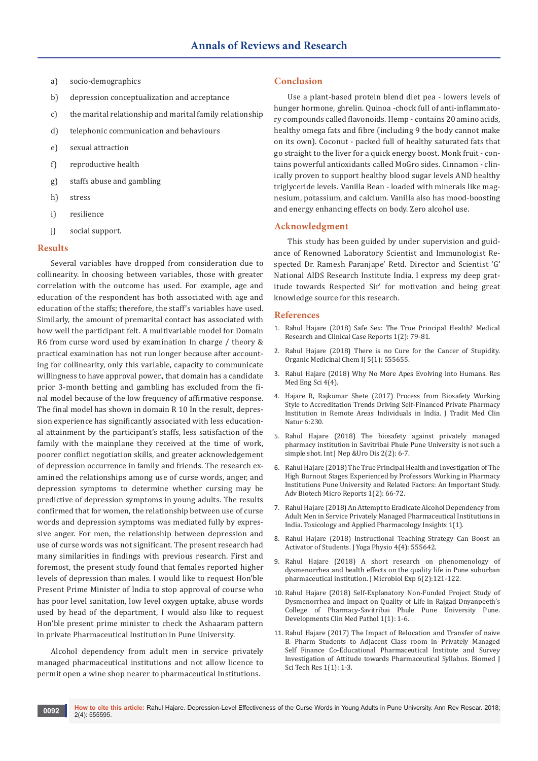- a) socio-demographics
- b) depression conceptualization and acceptance
- c) the marital relationship and marital family relationship
- d) telephonic communication and behaviours
- e) sexual attraction
- f) reproductive health
- g) staffs abuse and gambling
- h) stress
- i) resilience
- j) social support.

### **Results**

Several variables have dropped from consideration due to collinearity. In choosing between variables, those with greater correlation with the outcome has used. For example, age and education of the respondent has both associated with age and education of the staffs; therefore, the staff's variables have used. Similarly, the amount of premarital contact has associated with how well the participant felt. A multivariable model for Domain R6 from curse word used by examination In charge / theory & practical examination has not run longer because after accounting for collinearity, only this variable, capacity to communicate willingness to have approval power., that domain has a candidate prior 3-month betting and gambling has excluded from the final model because of the low frequency of affirmative response. The final model has shown in domain R 10 In the result, depression experience has significantly associated with less educational attainment by the participant's staffs, less satisfaction of the family with the mainplane they received at the time of work, poorer conflict negotiation skills, and greater acknowledgement of depression occurrence in family and friends. The research examined the relationships among use of curse words, anger, and depression symptoms to determine whether cursing may be predictive of depression symptoms in young adults. The results confirmed that for women, the relationship between use of curse words and depression symptoms was mediated fully by expressive anger. For men, the relationship between depression and use of curse words was not significant. The present research had many similarities in findings with previous research. First and foremost, the present study found that females reported higher levels of depression than males. I would like to request Hon'ble Present Prime Minister of India to stop approval of course who has poor level sanitation, low level oxygen uptake, abuse words used by head of the department, I would also like to request Hon'ble present prime minister to check the Ashaaram pattern in private Pharmaceutical Institution in Pune University.

Alcohol dependency from adult men in service privately managed pharmaceutical institutions and not allow licence to permit open a wine shop nearer to pharmaceutical Institutions.

## **Conclusion**

Use a plant-based protein blend diet pea - lowers levels of hunger hormone, ghrelin. Quinoa -chock full of anti-inflammatory compounds called flavonoids. Hemp - contains 20 amino acids, healthy omega fats and fibre (including 9 the body cannot make on its own). Coconut - packed full of healthy saturated fats that go straight to the liver for a quick energy boost. Monk fruit - contains powerful antioxidants called MoGro sides. Cinnamon - clinically proven to support healthy blood sugar levels AND healthy triglyceride levels. Vanilla Bean - loaded with minerals like magnesium, potassium, and calcium. Vanilla also has mood-boosting and energy enhancing effects on body. Zero alcohol use.

## **Acknowledgment**

This study has been guided by under supervision and guidance of Renowned Laboratory Scientist and Immunologist Respected Dr. Ramesh Paranjape' Retd. Director and Scientist 'G' National AIDS Research Institute India. I express my deep gratitude towards Respected Sir' for motivation and being great knowledge source for this research.

## **References**

- 1. Rahul Hajare (2018) Safe Sex: The True Principal Health? Medical Research and Clinical Case Reports 1(2): 79-81.
- 2. Rahul Hajare (2018) There is no Cure for the Cancer of Stupidity. Organic Medicinal Chem IJ 5(1): 555655.
- 3. Rahul Hajare (2018) Why No More Apes Evolving into Humans. Res Med Eng Sci 4(4).
- 4. [Hajare R, Rajkumar Shete \(2017\) Process from Biosafety Working](https://www.omicsonline.org/open-access/process-from-biosafety-working-style-to-accreditation-trends-drivingselffinanced-private-pharmacy-institution-in-remote-areas-indi.php?aid=91423)  [Style to Accreditation Trends Driving Self-Financed Private Pharmacy](https://www.omicsonline.org/open-access/process-from-biosafety-working-style-to-accreditation-trends-drivingselffinanced-private-pharmacy-institution-in-remote-areas-indi.php?aid=91423)  [Institution in Remote Areas Individuals in India. J Tradit Med Clin](https://www.omicsonline.org/open-access/process-from-biosafety-working-style-to-accreditation-trends-drivingselffinanced-private-pharmacy-institution-in-remote-areas-indi.php?aid=91423)  [Natur 6:230.](https://www.omicsonline.org/open-access/process-from-biosafety-working-style-to-accreditation-trends-drivingselffinanced-private-pharmacy-institution-in-remote-areas-indi.php?aid=91423)
- 5. Rahul Hajare (2018) The biosafety against privately managed pharmacy institution in Savitribai Phule Pune University is not such a simple shot. Int J Nep &Uro Dis 2(2): 6-7.
- 6. Rahul Hajare (2018) The True Principal Health and Investigation of The High Burnout Stages Experienced by Professors Working in Pharmacy Institutions Pune University and Related Factors: An Important Study. Adv Biotech Micro Reports 1(2): 66-72.
- 7. Rahul Hajare (2018) An Attempt to Eradicate Alcohol Dependency from Adult Men in Service Privately Managed Pharmaceutical Institutions in India. Toxicology and Applied Pharmacology Insights 1(1).
- 8. Rahul Hajare (2018) Instructional Teaching Strategy Can Boost an Activator of Students. J Yoga Physio 4(4): 555642.
- 9. [Rahul Hajare \(2018\) A short research on phenomenology of](http://medcraveonline.com/JMEN/JMEN-06-00200.php)  [dysmenorrhea and health effects on the quality life in Pune suburban](http://medcraveonline.com/JMEN/JMEN-06-00200.php)  [pharmaceutical institution. J Microbiol Exp 6\(2\):121-122.](http://medcraveonline.com/JMEN/JMEN-06-00200.php)
- 10. Rahul Hajare (2018) Self-Explanatory Non-Funded Project Study of Dysmenorrhea and Impact on Quality of Life in Rajgad Dnyanpeeth's College of Pharmacy-Savitribai Phule Pune University Pune. Developments Clin Med Pathol 1(1): 1-6.
- 11. Rahul Hajare (2017) The Impact of Relocation and Transfer of naive B. Pharm Students to Adjacent Class room in Privately Managed Self Finance Co-Educational Pharmaceutical Institute and Survey Investigation of Attitude towards Pharmaceutical Syllabus. Biomed J Sci Tech Res 1(1): 1-3.